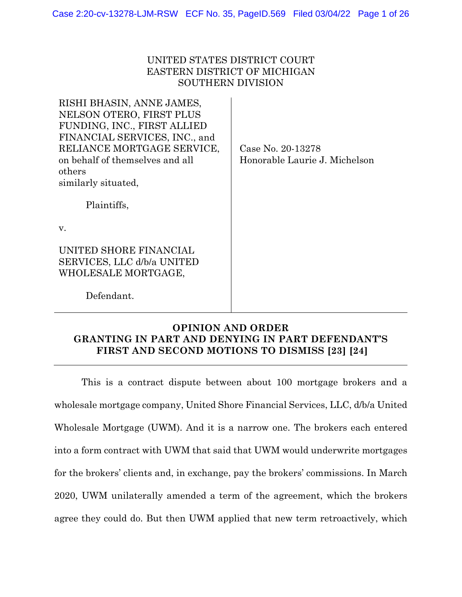# UNITED STATES DISTRICT COURT EASTERN DISTRICT OF MICHIGAN SOUTHERN DIVISION

| RISHI BHASIN, ANNE JAMES,<br>NELSON OTERO, FIRST PLUS<br>FUNDING, INC., FIRST ALLIED<br>FINANCIAL SERVICES, INC., and<br>RELIANCE MORTGAGE SERVICE,<br>on behalf of themselves and all<br>others<br>similarly situated,<br>Plaintiffs, | Case No. 20-13278<br>Honorable Laurie J. Michelson |
|----------------------------------------------------------------------------------------------------------------------------------------------------------------------------------------------------------------------------------------|----------------------------------------------------|
| $V_{\rm A}$                                                                                                                                                                                                                            |                                                    |
| UNITED SHORE FINANCIAL<br>SERVICES, LLC d/b/a UNITED<br>WHOLESALE MORTGAGE,                                                                                                                                                            |                                                    |
| Defendant.                                                                                                                                                                                                                             |                                                    |

# **OPINION AND ORDER GRANTING IN PART AND DENYING IN PART DEFENDANT'S FIRST AND SECOND MOTIONS TO DISMISS [23] [24]**

This is a contract dispute between about 100 mortgage brokers and a wholesale mortgage company, United Shore Financial Services, LLC, d/b/a United Wholesale Mortgage (UWM). And it is a narrow one. The brokers each entered into a form contract with UWM that said that UWM would underwrite mortgages for the brokers' clients and, in exchange, pay the brokers' commissions. In March 2020, UWM unilaterally amended a term of the agreement, which the brokers agree they could do. But then UWM applied that new term retroactively, which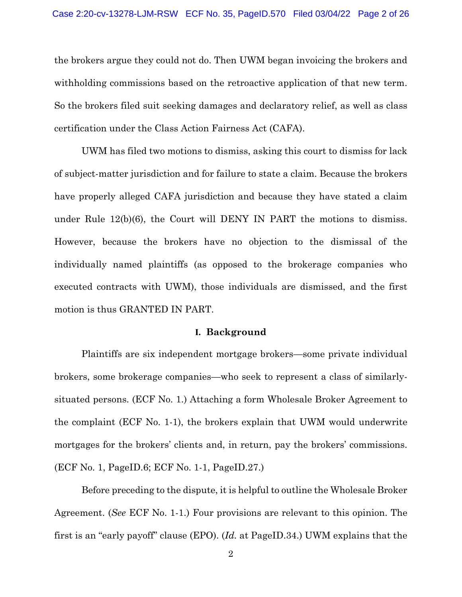the brokers argue they could not do. Then UWM began invoicing the brokers and withholding commissions based on the retroactive application of that new term. So the brokers filed suit seeking damages and declaratory relief, as well as class certification under the Class Action Fairness Act (CAFA).

UWM has filed two motions to dismiss, asking this court to dismiss for lack of subject-matter jurisdiction and for failure to state a claim. Because the brokers have properly alleged CAFA jurisdiction and because they have stated a claim under Rule 12(b)(6), the Court will DENY IN PART the motions to dismiss. However, because the brokers have no objection to the dismissal of the individually named plaintiffs (as opposed to the brokerage companies who executed contracts with UWM), those individuals are dismissed, and the first motion is thus GRANTED IN PART.

#### **I. Background**

Plaintiffs are six independent mortgage brokers—some private individual brokers, some brokerage companies—who seek to represent a class of similarlysituated persons. (ECF No. 1.) Attaching a form Wholesale Broker Agreement to the complaint (ECF No. 1-1), the brokers explain that UWM would underwrite mortgages for the brokers' clients and, in return, pay the brokers' commissions. (ECF No. 1, PageID.6; ECF No. 1-1, PageID.27.)

Before preceding to the dispute, it is helpful to outline the Wholesale Broker Agreement. (*See* ECF No. 1-1.) Four provisions are relevant to this opinion. The first is an "early payoff" clause (EPO). (*Id.* at PageID.34.) UWM explains that the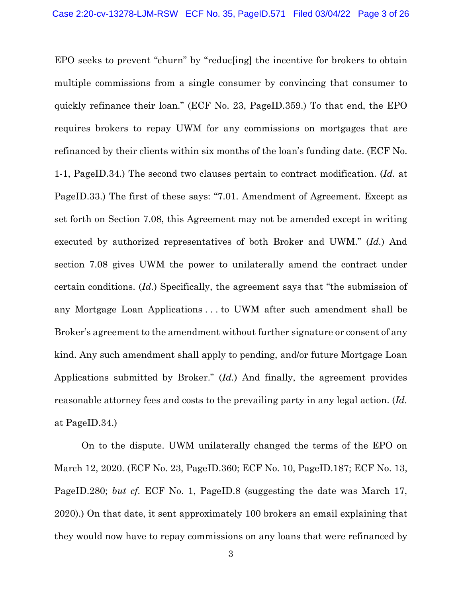EPO seeks to prevent "churn" by "reduc[ing] the incentive for brokers to obtain multiple commissions from a single consumer by convincing that consumer to quickly refinance their loan." (ECF No. 23, PageID.359.) To that end, the EPO requires brokers to repay UWM for any commissions on mortgages that are refinanced by their clients within six months of the loan's funding date. (ECF No. 1-1, PageID.34.) The second two clauses pertain to contract modification. (*Id.* at PageID.33.) The first of these says: "7.01. Amendment of Agreement. Except as set forth on Section 7.08, this Agreement may not be amended except in writing executed by authorized representatives of both Broker and UWM." (*Id.*) And section 7.08 gives UWM the power to unilaterally amend the contract under certain conditions. (*Id.*) Specifically, the agreement says that "the submission of any Mortgage Loan Applications . . . to UWM after such amendment shall be Broker's agreement to the amendment without further signature or consent of any kind. Any such amendment shall apply to pending, and/or future Mortgage Loan Applications submitted by Broker." (*Id.*) And finally, the agreement provides reasonable attorney fees and costs to the prevailing party in any legal action. (*Id.*  at PageID.34.)

On to the dispute. UWM unilaterally changed the terms of the EPO on March 12, 2020. (ECF No. 23, PageID.360; ECF No. 10, PageID.187; ECF No. 13, PageID.280; *but cf.* ECF No. 1, PageID.8 (suggesting the date was March 17, 2020).) On that date, it sent approximately 100 brokers an email explaining that they would now have to repay commissions on any loans that were refinanced by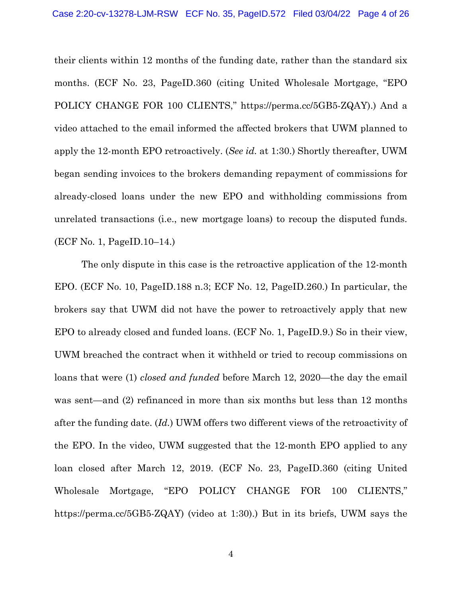their clients within 12 months of the funding date, rather than the standard six months. (ECF No. 23, PageID.360 (citing United Wholesale Mortgage, "EPO POLICY CHANGE FOR 100 CLIENTS," https://perma.cc/5GB5-ZQAY).) And a video attached to the email informed the affected brokers that UWM planned to apply the 12-month EPO retroactively. (*See id.* at 1:30.) Shortly thereafter, UWM began sending invoices to the brokers demanding repayment of commissions for already-closed loans under the new EPO and withholding commissions from unrelated transactions (i.e., new mortgage loans) to recoup the disputed funds. (ECF No. 1, PageID.10–14.)

The only dispute in this case is the retroactive application of the 12-month EPO. (ECF No. 10, PageID.188 n.3; ECF No. 12, PageID.260.) In particular, the brokers say that UWM did not have the power to retroactively apply that new EPO to already closed and funded loans. (ECF No. 1, PageID.9.) So in their view, UWM breached the contract when it withheld or tried to recoup commissions on loans that were (1) *closed and funded* before March 12, 2020—the day the email was sent—and (2) refinanced in more than six months but less than 12 months after the funding date. (*Id.*) UWM offers two different views of the retroactivity of the EPO. In the video, UWM suggested that the 12-month EPO applied to any loan closed after March 12, 2019. (ECF No. 23, PageID.360 (citing United Wholesale Mortgage, "EPO POLICY CHANGE FOR 100 CLIENTS," https://perma.cc/5GB5-ZQAY) (video at 1:30).) But in its briefs, UWM says the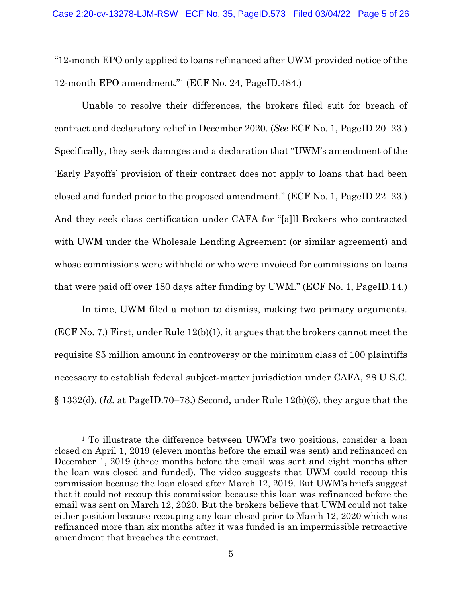"12-month EPO only applied to loans refinanced after UWM provided notice of the 12-month EPO amendment."1 (ECF No. 24, PageID.484.)

Unable to resolve their differences, the brokers filed suit for breach of contract and declaratory relief in December 2020. (*See* ECF No. 1, PageID.20–23.) Specifically, they seek damages and a declaration that "UWM's amendment of the 'Early Payoffs' provision of their contract does not apply to loans that had been closed and funded prior to the proposed amendment." (ECF No. 1, PageID.22–23.) And they seek class certification under CAFA for "[a]ll Brokers who contracted with UWM under the Wholesale Lending Agreement (or similar agreement) and whose commissions were withheld or who were invoiced for commissions on loans that were paid off over 180 days after funding by UWM." (ECF No. 1, PageID.14.)

In time, UWM filed a motion to dismiss, making two primary arguments. (ECF No. 7.) First, under Rule 12(b)(1), it argues that the brokers cannot meet the requisite \$5 million amount in controversy or the minimum class of 100 plaintiffs necessary to establish federal subject-matter jurisdiction under CAFA, 28 U.S.C. § 1332(d). (*Id.* at PageID.70–78.) Second, under Rule 12(b)(6), they argue that the

<sup>&</sup>lt;sup>1</sup> To illustrate the difference between UWM's two positions, consider a loan closed on April 1, 2019 (eleven months before the email was sent) and refinanced on December 1, 2019 (three months before the email was sent and eight months after the loan was closed and funded). The video suggests that UWM could recoup this commission because the loan closed after March 12, 2019. But UWM's briefs suggest that it could not recoup this commission because this loan was refinanced before the email was sent on March 12, 2020. But the brokers believe that UWM could not take either position because recouping any loan closed prior to March 12, 2020 which was refinanced more than six months after it was funded is an impermissible retroactive amendment that breaches the contract.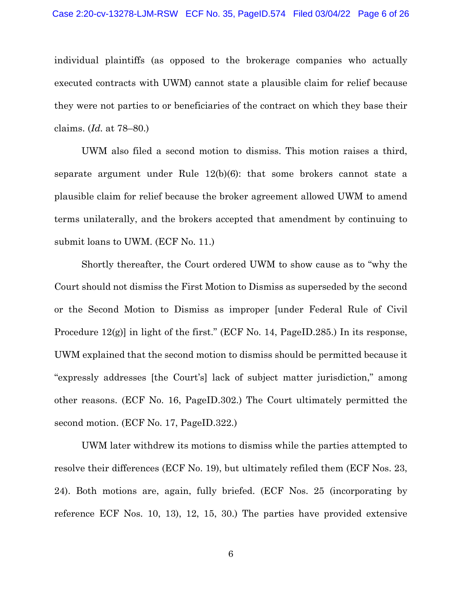individual plaintiffs (as opposed to the brokerage companies who actually executed contracts with UWM) cannot state a plausible claim for relief because they were not parties to or beneficiaries of the contract on which they base their claims. (*Id.* at 78–80.)

UWM also filed a second motion to dismiss. This motion raises a third, separate argument under Rule 12(b)(6): that some brokers cannot state a plausible claim for relief because the broker agreement allowed UWM to amend terms unilaterally, and the brokers accepted that amendment by continuing to submit loans to UWM. (ECF No. 11.)

Shortly thereafter, the Court ordered UWM to show cause as to "why the Court should not dismiss the First Motion to Dismiss as superseded by the second or the Second Motion to Dismiss as improper [under Federal Rule of Civil Procedure  $12(g)$  in light of the first." (ECF No. 14, PageID.285.) In its response, UWM explained that the second motion to dismiss should be permitted because it "expressly addresses [the Court's] lack of subject matter jurisdiction," among other reasons. (ECF No. 16, PageID.302.) The Court ultimately permitted the second motion. (ECF No. 17, PageID.322.)

UWM later withdrew its motions to dismiss while the parties attempted to resolve their differences (ECF No. 19), but ultimately refiled them (ECF Nos. 23, 24). Both motions are, again, fully briefed. (ECF Nos. 25 (incorporating by reference ECF Nos. 10, 13), 12, 15, 30.) The parties have provided extensive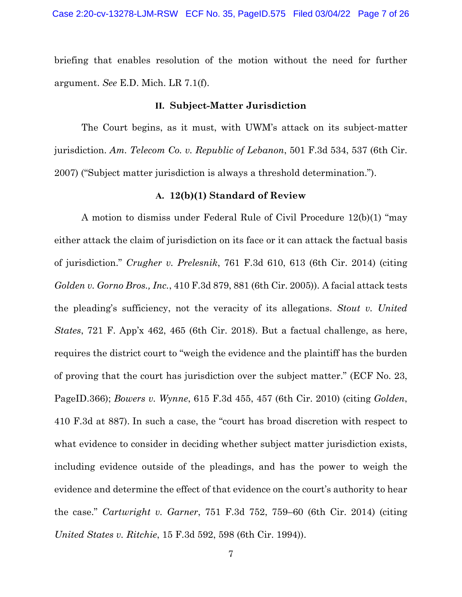briefing that enables resolution of the motion without the need for further argument. *See* E.D. Mich. LR 7.1(f).

#### **II. Subject-Matter Jurisdiction**

The Court begins, as it must, with UWM's attack on its subject-matter jurisdiction. *Am. Telecom Co. v. Republic of Lebanon*, 501 F.3d 534, 537 (6th Cir. 2007) ("Subject matter jurisdiction is always a threshold determination.").

## **A. 12(b)(1) Standard of Review**

A motion to dismiss under Federal Rule of Civil Procedure 12(b)(1) "may either attack the claim of jurisdiction on its face or it can attack the factual basis of jurisdiction." *Crugher v. Prelesnik*, 761 F.3d 610, 613 (6th Cir. 2014) (citing *Golden v. Gorno Bros., Inc.*, 410 F.3d 879, 881 (6th Cir. 2005)). A facial attack tests the pleading's sufficiency, not the veracity of its allegations. *Stout v. United States*, 721 F. App'x 462, 465 (6th Cir. 2018). But a factual challenge, as here, requires the district court to "weigh the evidence and the plaintiff has the burden of proving that the court has jurisdiction over the subject matter." (ECF No. 23, PageID.366); *Bowers v. Wynne*, 615 F.3d 455, 457 (6th Cir. 2010) (citing *Golden*, 410 F.3d at 887). In such a case, the "court has broad discretion with respect to what evidence to consider in deciding whether subject matter jurisdiction exists, including evidence outside of the pleadings, and has the power to weigh the evidence and determine the effect of that evidence on the court's authority to hear the case." *Cartwright v. Garner*, 751 F.3d 752, 759–60 (6th Cir. 2014) (citing *United States v. Ritchie*, 15 F.3d 592, 598 (6th Cir. 1994)).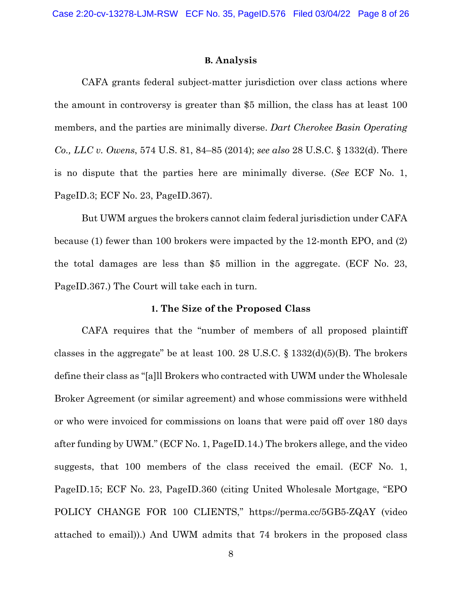#### **B. Analysis**

CAFA grants federal subject-matter jurisdiction over class actions where the amount in controversy is greater than \$5 million, the class has at least 100 members, and the parties are minimally diverse. *Dart Cherokee Basin Operating Co., LLC v. Owens*, 574 U.S. 81, 84–85 (2014); *see also* 28 U.S.C. § 1332(d). There is no dispute that the parties here are minimally diverse. (*See* ECF No. 1, PageID.3; ECF No. 23, PageID.367).

But UWM argues the brokers cannot claim federal jurisdiction under CAFA because (1) fewer than 100 brokers were impacted by the 12-month EPO, and (2) the total damages are less than \$5 million in the aggregate. (ECF No. 23, PageID.367.) The Court will take each in turn.

## **1. The Size of the Proposed Class**

CAFA requires that the "number of members of all proposed plaintiff classes in the aggregate" be at least 100. 28 U.S.C.  $\S$  1332(d)(5)(B). The brokers define their class as "[a]ll Brokers who contracted with UWM under the Wholesale Broker Agreement (or similar agreement) and whose commissions were withheld or who were invoiced for commissions on loans that were paid off over 180 days after funding by UWM." (ECF No. 1, PageID.14.) The brokers allege, and the video suggests, that 100 members of the class received the email. (ECF No. 1, PageID.15; ECF No. 23, PageID.360 (citing United Wholesale Mortgage, "EPO POLICY CHANGE FOR 100 CLIENTS," https://perma.cc/5GB5-ZQAY (video attached to email)).) And UWM admits that 74 brokers in the proposed class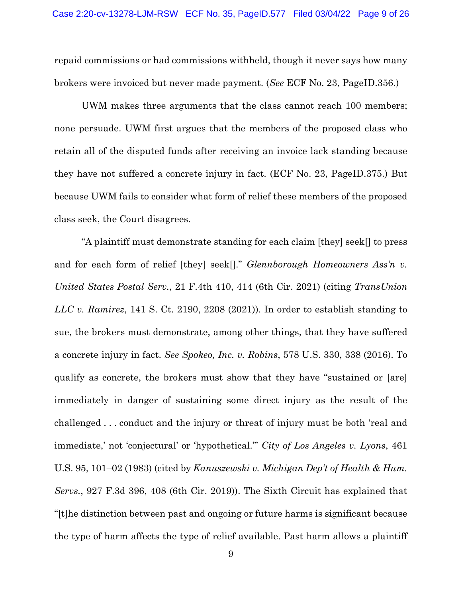repaid commissions or had commissions withheld, though it never says how many brokers were invoiced but never made payment. (*See* ECF No. 23, PageID.356.)

UWM makes three arguments that the class cannot reach 100 members; none persuade. UWM first argues that the members of the proposed class who retain all of the disputed funds after receiving an invoice lack standing because they have not suffered a concrete injury in fact. (ECF No. 23, PageID.375.) But because UWM fails to consider what form of relief these members of the proposed class seek, the Court disagrees.

"A plaintiff must demonstrate standing for each claim [they] seek[] to press and for each form of relief [they] seek[]." *Glennborough Homeowners Ass'n v. United States Postal Serv.*, 21 F.4th 410, 414 (6th Cir. 2021) (citing *TransUnion LLC v. Ramirez*, 141 S. Ct. 2190, 2208 (2021)). In order to establish standing to sue, the brokers must demonstrate, among other things, that they have suffered a concrete injury in fact. *See Spokeo, Inc. v. Robins*, 578 U.S. 330, 338 (2016). To qualify as concrete, the brokers must show that they have "sustained or [are] immediately in danger of sustaining some direct injury as the result of the challenged . . . conduct and the injury or threat of injury must be both 'real and immediate,' not 'conjectural' or 'hypothetical.'" *City of Los Angeles v. Lyons*, 461 U.S. 95, 101–02 (1983) (cited by *Kanuszewski v. Michigan Dep't of Health & Hum. Servs.*, 927 F.3d 396, 408 (6th Cir. 2019)). The Sixth Circuit has explained that "[t]he distinction between past and ongoing or future harms is significant because the type of harm affects the type of relief available. Past harm allows a plaintiff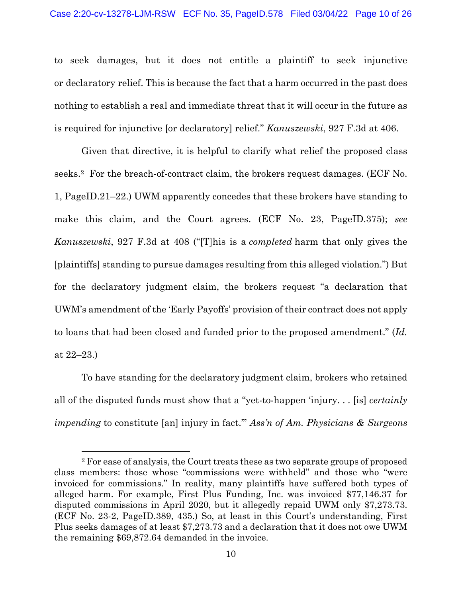to seek damages, but it does not entitle a plaintiff to seek injunctive or declaratory relief. This is because the fact that a harm occurred in the past does nothing to establish a real and immediate threat that it will occur in the future as is required for injunctive [or declaratory] relief." *Kanuszewski*, 927 F.3d at 406.

Given that directive, it is helpful to clarify what relief the proposed class seeks.2 For the breach-of-contract claim, the brokers request damages. (ECF No. 1, PageID.21–22.) UWM apparently concedes that these brokers have standing to make this claim, and the Court agrees. (ECF No. 23, PageID.375); *see Kanuszewski*, 927 F.3d at 408 ("[T]his is a *completed* harm that only gives the [plaintiffs] standing to pursue damages resulting from this alleged violation.") But for the declaratory judgment claim, the brokers request "a declaration that UWM's amendment of the 'Early Payoffs' provision of their contract does not apply to loans that had been closed and funded prior to the proposed amendment." (*Id.*  at 22–23.)

To have standing for the declaratory judgment claim, brokers who retained all of the disputed funds must show that a "yet-to-happen 'injury. . . [is] *certainly impending* to constitute [an] injury in fact.'" *Ass'n of Am. Physicians & Surgeons* 

<sup>2</sup> For ease of analysis, the Court treats these as two separate groups of proposed class members: those whose "commissions were withheld" and those who "were invoiced for commissions." In reality, many plaintiffs have suffered both types of alleged harm. For example, First Plus Funding, Inc. was invoiced \$77,146.37 for disputed commissions in April 2020, but it allegedly repaid UWM only \$7,273.73. (ECF No. 23-2, PageID.389, 435.) So, at least in this Court's understanding, First Plus seeks damages of at least \$7,273.73 and a declaration that it does not owe UWM the remaining \$69,872.64 demanded in the invoice.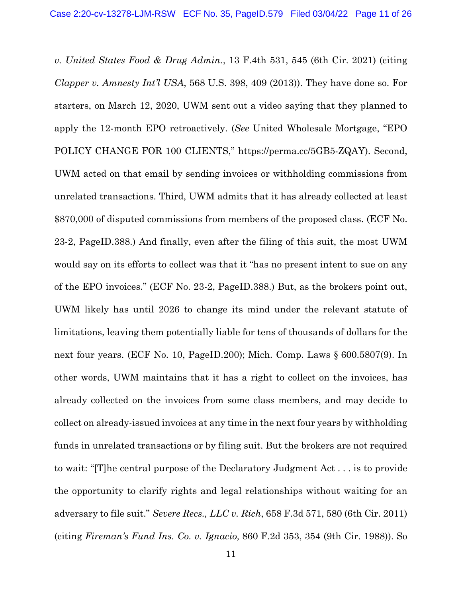*v. United States Food & Drug Admin.*, 13 F.4th 531, 545 (6th Cir. 2021) (citing *Clapper v. Amnesty Int'l USA*, 568 U.S. 398, 409 (2013)). They have done so. For starters, on March 12, 2020, UWM sent out a video saying that they planned to apply the 12-month EPO retroactively. (*See* United Wholesale Mortgage, "EPO POLICY CHANGE FOR 100 CLIENTS," https://perma.cc/5GB5-ZQAY). Second, UWM acted on that email by sending invoices or withholding commissions from unrelated transactions. Third, UWM admits that it has already collected at least \$870,000 of disputed commissions from members of the proposed class. (ECF No. 23-2, PageID.388.) And finally, even after the filing of this suit, the most UWM would say on its efforts to collect was that it "has no present intent to sue on any of the EPO invoices." (ECF No. 23-2, PageID.388.) But, as the brokers point out, UWM likely has until 2026 to change its mind under the relevant statute of limitations, leaving them potentially liable for tens of thousands of dollars for the next four years. (ECF No. 10, PageID.200); Mich. Comp. Laws § 600.5807(9). In other words, UWM maintains that it has a right to collect on the invoices, has already collected on the invoices from some class members, and may decide to collect on already-issued invoices at any time in the next four years by withholding funds in unrelated transactions or by filing suit. But the brokers are not required to wait: "[T]he central purpose of the Declaratory Judgment Act . . . is to provide the opportunity to clarify rights and legal relationships without waiting for an adversary to file suit." *Severe Recs., LLC v. Rich*, 658 F.3d 571, 580 (6th Cir. 2011) (citing *Fireman's Fund Ins. Co. v. Ignacio,* 860 F.2d 353, 354 (9th Cir. 1988)). So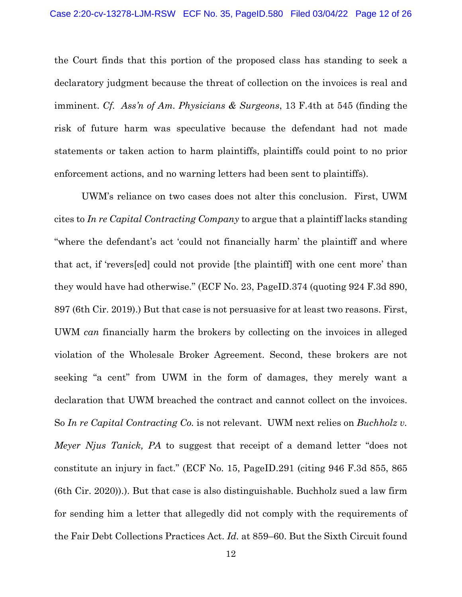the Court finds that this portion of the proposed class has standing to seek a declaratory judgment because the threat of collection on the invoices is real and imminent. *Cf. Ass'n of Am. Physicians & Surgeons*, 13 F.4th at 545 (finding the risk of future harm was speculative because the defendant had not made statements or taken action to harm plaintiffs, plaintiffs could point to no prior enforcement actions, and no warning letters had been sent to plaintiffs).

UWM's reliance on two cases does not alter this conclusion. First, UWM cites to *In re Capital Contracting Company* to argue that a plaintiff lacks standing "where the defendant's act 'could not financially harm' the plaintiff and where that act, if 'revers[ed] could not provide [the plaintiff] with one cent more' than they would have had otherwise." (ECF No. 23, PageID.374 (quoting 924 F.3d 890, 897 (6th Cir. 2019).) But that case is not persuasive for at least two reasons. First, UWM *can* financially harm the brokers by collecting on the invoices in alleged violation of the Wholesale Broker Agreement. Second, these brokers are not seeking "a cent" from UWM in the form of damages, they merely want a declaration that UWM breached the contract and cannot collect on the invoices. So *In re Capital Contracting Co.* is not relevant. UWM next relies on *Buchholz v. Meyer Njus Tanick, PA* to suggest that receipt of a demand letter "does not constitute an injury in fact." (ECF No. 15, PageID.291 (citing 946 F.3d 855, 865 (6th Cir. 2020)).). But that case is also distinguishable. Buchholz sued a law firm for sending him a letter that allegedly did not comply with the requirements of the Fair Debt Collections Practices Act. *Id.* at 859–60. But the Sixth Circuit found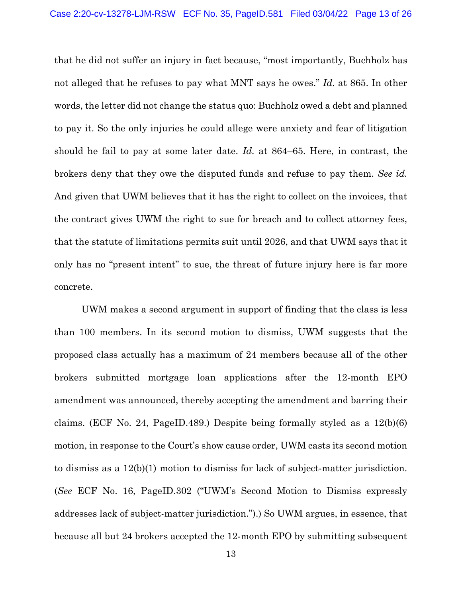that he did not suffer an injury in fact because, "most importantly, Buchholz has not alleged that he refuses to pay what MNT says he owes." *Id.* at 865. In other words, the letter did not change the status quo: Buchholz owed a debt and planned to pay it. So the only injuries he could allege were anxiety and fear of litigation should he fail to pay at some later date. *Id.* at 864–65. Here, in contrast, the brokers deny that they owe the disputed funds and refuse to pay them. *See id.*  And given that UWM believes that it has the right to collect on the invoices, that the contract gives UWM the right to sue for breach and to collect attorney fees, that the statute of limitations permits suit until 2026, and that UWM says that it only has no "present intent" to sue, the threat of future injury here is far more concrete.

UWM makes a second argument in support of finding that the class is less than 100 members. In its second motion to dismiss, UWM suggests that the proposed class actually has a maximum of 24 members because all of the other brokers submitted mortgage loan applications after the 12-month EPO amendment was announced, thereby accepting the amendment and barring their claims. (ECF No. 24, PageID.489.) Despite being formally styled as a 12(b)(6) motion, in response to the Court's show cause order, UWM casts its second motion to dismiss as a 12(b)(1) motion to dismiss for lack of subject-matter jurisdiction. (*See* ECF No. 16, PageID.302 ("UWM's Second Motion to Dismiss expressly addresses lack of subject-matter jurisdiction.").) So UWM argues, in essence, that because all but 24 brokers accepted the 12-month EPO by submitting subsequent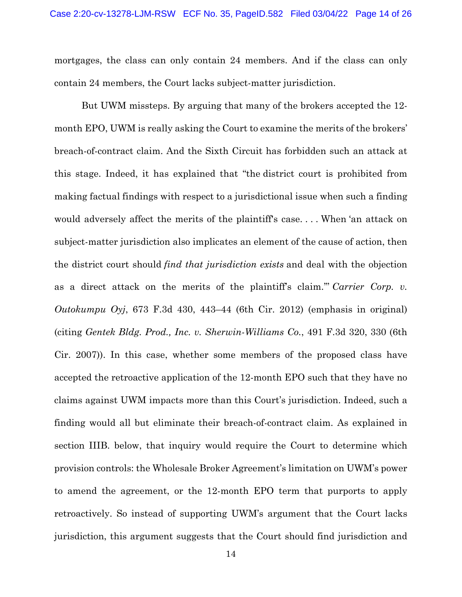mortgages, the class can only contain 24 members. And if the class can only contain 24 members, the Court lacks subject-matter jurisdiction.

But UWM missteps. By arguing that many of the brokers accepted the 12 month EPO, UWM is really asking the Court to examine the merits of the brokers' breach-of-contract claim. And the Sixth Circuit has forbidden such an attack at this stage. Indeed, it has explained that "the district court is prohibited from making factual findings with respect to a jurisdictional issue when such a finding would adversely affect the merits of the plaintiff's case. . . . When 'an attack on subject-matter jurisdiction also implicates an element of the cause of action, then the district court should *find that jurisdiction exists* and deal with the objection as a direct attack on the merits of the plaintiff's claim.'" *Carrier Corp. v. Outokumpu Oyj*, 673 F.3d 430, 443–44 (6th Cir. 2012) (emphasis in original) (citing *Gentek Bldg. Prod., Inc. v. Sherwin-Williams Co.*, 491 F.3d 320, 330 (6th Cir. 2007)). In this case, whether some members of the proposed class have accepted the retroactive application of the 12-month EPO such that they have no claims against UWM impacts more than this Court's jurisdiction. Indeed, such a finding would all but eliminate their breach-of-contract claim. As explained in section IIIB. below, that inquiry would require the Court to determine which provision controls: the Wholesale Broker Agreement's limitation on UWM's power to amend the agreement, or the 12-month EPO term that purports to apply retroactively. So instead of supporting UWM's argument that the Court lacks jurisdiction, this argument suggests that the Court should find jurisdiction and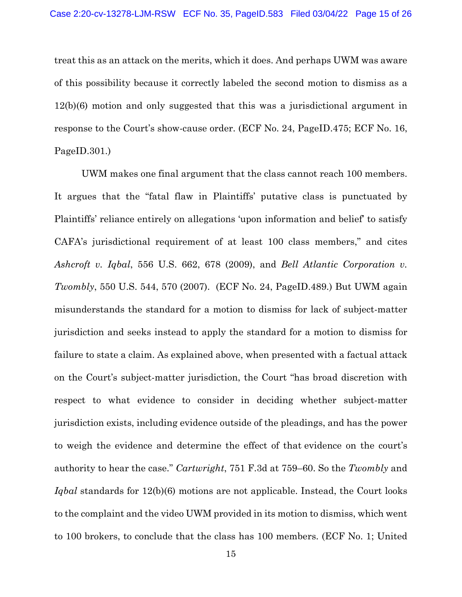treat this as an attack on the merits, which it does. And perhaps UWM was aware of this possibility because it correctly labeled the second motion to dismiss as a 12(b)(6) motion and only suggested that this was a jurisdictional argument in response to the Court's show-cause order. (ECF No. 24, PageID.475; ECF No. 16, PageID.301.)

UWM makes one final argument that the class cannot reach 100 members. It argues that the "fatal flaw in Plaintiffs' putative class is punctuated by Plaintiffs' reliance entirely on allegations 'upon information and belief' to satisfy CAFA's jurisdictional requirement of at least 100 class members," and cites *Ashcroft v. Iqbal*, 556 U.S. 662, 678 (2009), and *Bell Atlantic Corporation v. Twombly*, 550 U.S. 544, 570 (2007). (ECF No. 24, PageID.489.) But UWM again misunderstands the standard for a motion to dismiss for lack of subject-matter jurisdiction and seeks instead to apply the standard for a motion to dismiss for failure to state a claim. As explained above, when presented with a factual attack on the Court's subject-matter jurisdiction, the Court "has broad discretion with respect to what evidence to consider in deciding whether subject-matter jurisdiction exists, including evidence outside of the pleadings, and has the power to weigh the evidence and determine the effect of that evidence on the court's authority to hear the case." *Cartwright*, 751 F.3d at 759–60. So the *Twombly* and *Iqbal* standards for 12(b)(6) motions are not applicable. Instead, the Court looks to the complaint and the video UWM provided in its motion to dismiss, which went to 100 brokers, to conclude that the class has 100 members. (ECF No. 1; United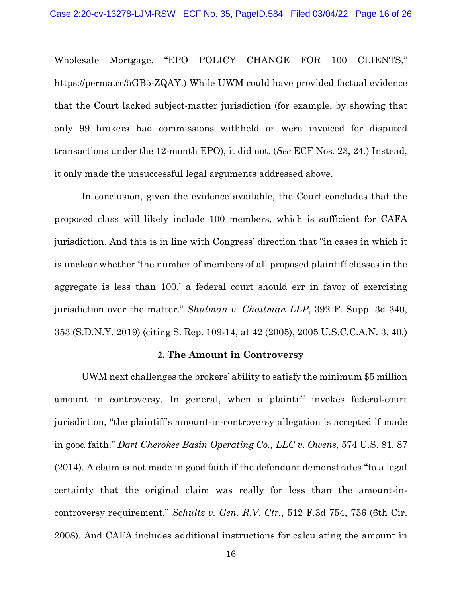Wholesale Mortgage, "EPO POLICY CHANGE FOR 100 CLIENTS," https://perma.cc/5GB5-ZQAY.) While UWM could have provided factual evidence that the Court lacked subject-matter jurisdiction (for example, by showing that only 99 brokers had commissions withheld or were invoiced for disputed transactions under the 12-month EPO), it did not. (*See* ECF Nos. 23, 24.) Instead, it only made the unsuccessful legal arguments addressed above.

In conclusion, given the evidence available, the Court concludes that the proposed class will likely include 100 members, which is sufficient for CAFA jurisdiction. And this is in line with Congress' direction that "in cases in which it is unclear whether 'the number of members of all proposed plaintiff classes in the aggregate is less than 100,' a federal court should err in favor of exercising jurisdiction over the matter." *Shulman v. Chaitman LLP*, 392 F. Supp. 3d 340, 353 (S.D.N.Y. 2019) (citing S. Rep. 109-14, at 42 (2005), 2005 U.S.C.C.A.N. 3, 40.)

## **2. The Amount in Controversy**

UWM next challenges the brokers' ability to satisfy the minimum \$5 million amount in controversy. In general, when a plaintiff invokes federal-court jurisdiction, "the plaintiff's amount-in-controversy allegation is accepted if made in good faith." *Dart Cherokee Basin Operating Co., LLC v. Owens*, 574 U.S. 81, 87 (2014). A claim is not made in good faith if the defendant demonstrates "to a legal certainty that the original claim was really for less than the amount-incontroversy requirement." *Schultz v. Gen. R.V. Ctr.*, 512 F.3d 754, 756 (6th Cir. 2008). And CAFA includes additional instructions for calculating the amount in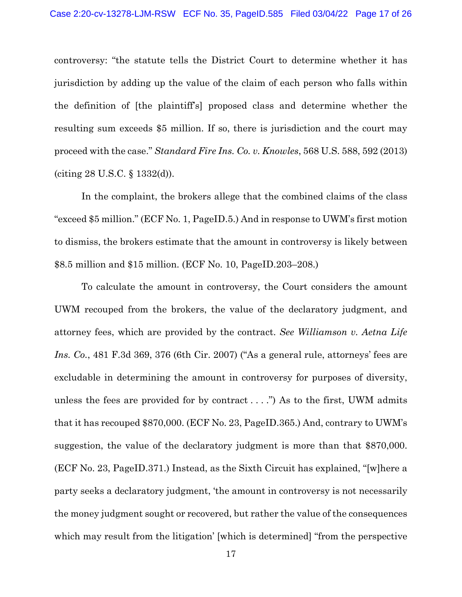controversy: "the statute tells the District Court to determine whether it has jurisdiction by adding up the value of the claim of each person who falls within the definition of [the plaintiff's] proposed class and determine whether the resulting sum exceeds \$5 million. If so, there is jurisdiction and the court may proceed with the case." *Standard Fire Ins. Co. v. Knowles*, 568 U.S. 588, 592 (2013) (citing 28 U.S.C. § 1332(d)).

In the complaint, the brokers allege that the combined claims of the class "exceed \$5 million." (ECF No. 1, PageID.5.) And in response to UWM's first motion to dismiss, the brokers estimate that the amount in controversy is likely between \$8.5 million and \$15 million. (ECF No. 10, PageID.203–208.)

To calculate the amount in controversy, the Court considers the amount UWM recouped from the brokers, the value of the declaratory judgment, and attorney fees, which are provided by the contract. *See Williamson v. Aetna Life Ins. Co.*, 481 F.3d 369, 376 (6th Cir. 2007) ("As a general rule, attorneys' fees are excludable in determining the amount in controversy for purposes of diversity, unless the fees are provided for by contract  $\dots$ ") As to the first, UWM admits that it has recouped \$870,000. (ECF No. 23, PageID.365.) And, contrary to UWM's suggestion, the value of the declaratory judgment is more than that \$870,000. (ECF No. 23, PageID.371.) Instead, as the Sixth Circuit has explained, "[w]here a party seeks a declaratory judgment, 'the amount in controversy is not necessarily the money judgment sought or recovered, but rather the value of the consequences which may result from the litigation' [which is determined] "from the perspective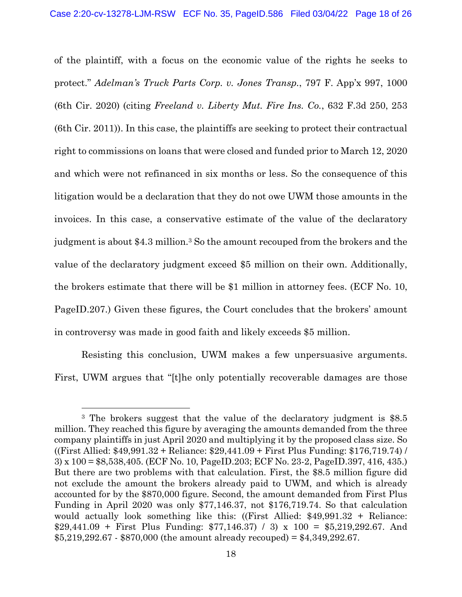of the plaintiff, with a focus on the economic value of the rights he seeks to protect." *Adelman's Truck Parts Corp. v. Jones Transp.*, 797 F. App'x 997, 1000 (6th Cir. 2020) (citing *Freeland v. Liberty Mut. Fire Ins. Co.*, 632 F.3d 250, 253 (6th Cir. 2011)). In this case, the plaintiffs are seeking to protect their contractual right to commissions on loans that were closed and funded prior to March 12, 2020 and which were not refinanced in six months or less. So the consequence of this litigation would be a declaration that they do not owe UWM those amounts in the invoices. In this case, a conservative estimate of the value of the declaratory judgment is about \$4.3 million.3 So the amount recouped from the brokers and the value of the declaratory judgment exceed \$5 million on their own. Additionally, the brokers estimate that there will be \$1 million in attorney fees. (ECF No. 10, PageID.207.) Given these figures, the Court concludes that the brokers' amount in controversy was made in good faith and likely exceeds \$5 million.

Resisting this conclusion, UWM makes a few unpersuasive arguments. First, UWM argues that "[t]he only potentially recoverable damages are those

<sup>3</sup> The brokers suggest that the value of the declaratory judgment is \$8.5 million. They reached this figure by averaging the amounts demanded from the three company plaintiffs in just April 2020 and multiplying it by the proposed class size. So ((First Allied: \$49,991.32 + Reliance: \$29,441.09 + First Plus Funding: \$176,719.74) / 3) x 100 = \$8,538,405. (ECF No. 10, PageID.203; ECF No. 23-2, PageID.397, 416, 435.) But there are two problems with that calculation. First, the \$8.5 million figure did not exclude the amount the brokers already paid to UWM, and which is already accounted for by the \$870,000 figure. Second, the amount demanded from First Plus Funding in April 2020 was only \$77,146.37, not \$176,719.74. So that calculation would actually look something like this: ((First Allied: \$49,991.32 + Reliance: \$29,441.09 + First Plus Funding: \$77,146.37) / 3) x 100 = \$5,219,292.67. And  $$5,219,292.67 \cdot $870,000$  (the amount already recouped) = \$4,349,292.67.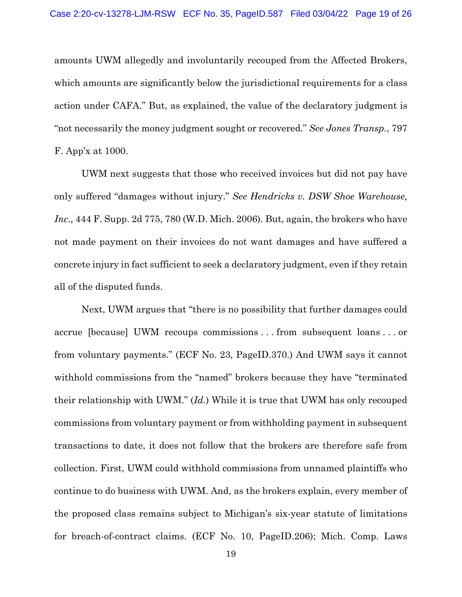amounts UWM allegedly and involuntarily recouped from the Affected Brokers, which amounts are significantly below the jurisdictional requirements for a class action under CAFA." But, as explained, the value of the declaratory judgment is "not necessarily the money judgment sought or recovered." *See Jones Transp.*, 797 F. App'x at 1000.

UWM next suggests that those who received invoices but did not pay have only suffered "damages without injury." *See Hendricks v. DSW Shoe Warehouse, Inc.,* 444 F. Supp. 2d 775, 780 (W.D. Mich. 2006). But, again, the brokers who have not made payment on their invoices do not want damages and have suffered a concrete injury in fact sufficient to seek a declaratory judgment, even if they retain all of the disputed funds.

Next, UWM argues that "there is no possibility that further damages could accrue [because] UWM recoups commissions . . . from subsequent loans . . . or from voluntary payments." (ECF No. 23, PageID.370.) And UWM says it cannot withhold commissions from the "named" brokers because they have "terminated their relationship with UWM." (*Id.*) While it is true that UWM has only recouped commissions from voluntary payment or from withholding payment in subsequent transactions to date, it does not follow that the brokers are therefore safe from collection. First, UWM could withhold commissions from unnamed plaintiffs who continue to do business with UWM. And, as the brokers explain, every member of the proposed class remains subject to Michigan's six-year statute of limitations for breach-of-contract claims. (ECF No. 10, PageID.206); Mich. Comp. Laws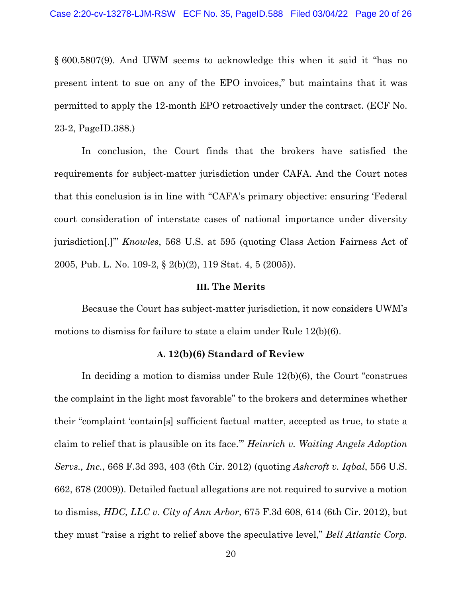§ 600.5807(9). And UWM seems to acknowledge this when it said it "has no present intent to sue on any of the EPO invoices," but maintains that it was permitted to apply the 12-month EPO retroactively under the contract. (ECF No. 23-2, PageID.388.)

In conclusion, the Court finds that the brokers have satisfied the requirements for subject-matter jurisdiction under CAFA. And the Court notes that this conclusion is in line with "CAFA's primary objective: ensuring 'Federal court consideration of interstate cases of national importance under diversity jurisdiction[.]'" *Knowles*, 568 U.S. at 595 (quoting Class Action Fairness Act of 2005, Pub. L. No. 109-2, § 2(b)(2), 119 Stat. 4, 5 (2005)).

#### **III. The Merits**

Because the Court has subject-matter jurisdiction, it now considers UWM's motions to dismiss for failure to state a claim under Rule 12(b)(6).

#### **A. 12(b)(6) Standard of Review**

In deciding a motion to dismiss under Rule 12(b)(6), the Court "construes the complaint in the light most favorable" to the brokers and determines whether their "complaint 'contain[s] sufficient factual matter, accepted as true, to state a claim to relief that is plausible on its face.'" *Heinrich v. Waiting Angels Adoption Servs., Inc.*, 668 F.3d 393, 403 (6th Cir. 2012) (quoting *Ashcroft v. Iqbal*, 556 U.S. 662, 678 (2009)). Detailed factual allegations are not required to survive a motion to dismiss, *HDC, LLC v. City of Ann Arbor*, 675 F.3d 608, 614 (6th Cir. 2012), but they must "raise a right to relief above the speculative level," *Bell Atlantic Corp.*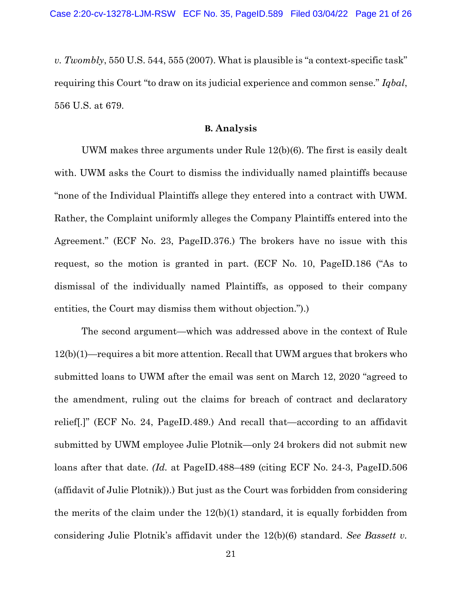*v. Twombly*, 550 U.S. 544, 555 (2007). What is plausible is "a context-specific task" requiring this Court "to draw on its judicial experience and common sense." *Iqbal*, 556 U.S. at 679.

## **B. Analysis**

UWM makes three arguments under Rule 12(b)(6). The first is easily dealt with. UWM asks the Court to dismiss the individually named plaintiffs because "none of the Individual Plaintiffs allege they entered into a contract with UWM. Rather, the Complaint uniformly alleges the Company Plaintiffs entered into the Agreement." (ECF No. 23, PageID.376.) The brokers have no issue with this request, so the motion is granted in part. (ECF No. 10, PageID.186 ("As to dismissal of the individually named Plaintiffs, as opposed to their company entities, the Court may dismiss them without objection.").)

The second argument—which was addressed above in the context of Rule 12(b)(1)—requires a bit more attention. Recall that UWM argues that brokers who submitted loans to UWM after the email was sent on March 12, 2020 "agreed to the amendment, ruling out the claims for breach of contract and declaratory relief[.]" (ECF No. 24, PageID.489.) And recall that—according to an affidavit submitted by UWM employee Julie Plotnik—only 24 brokers did not submit new loans after that date. *(Id.* at PageID.488–489 (citing ECF No. 24-3, PageID.506) (affidavit of Julie Plotnik)).) But just as the Court was forbidden from considering the merits of the claim under the  $12(b)(1)$  standard, it is equally forbidden from considering Julie Plotnik's affidavit under the 12(b)(6) standard. *See Bassett v.*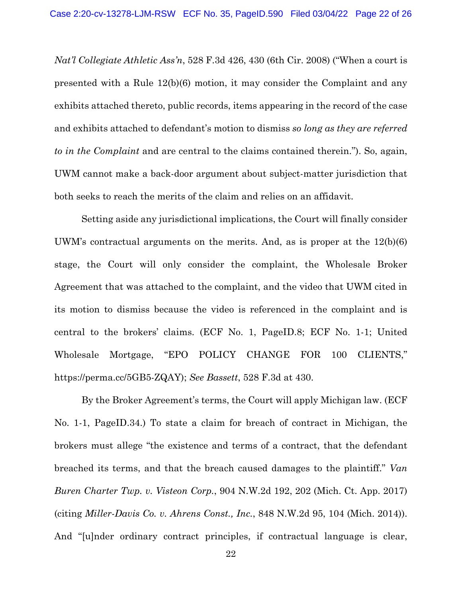*Nat'l Collegiate Athletic Ass'n*, 528 F.3d 426, 430 (6th Cir. 2008) ("When a court is presented with a Rule 12(b)(6) motion, it may consider the Complaint and any exhibits attached thereto, public records, items appearing in the record of the case and exhibits attached to defendant's motion to dismiss *so long as they are referred to in the Complaint* and are central to the claims contained therein."). So, again, UWM cannot make a back-door argument about subject-matter jurisdiction that both seeks to reach the merits of the claim and relies on an affidavit.

Setting aside any jurisdictional implications, the Court will finally consider UWM's contractual arguments on the merits. And, as is proper at the 12(b)(6) stage, the Court will only consider the complaint, the Wholesale Broker Agreement that was attached to the complaint, and the video that UWM cited in its motion to dismiss because the video is referenced in the complaint and is central to the brokers' claims. (ECF No. 1, PageID.8; ECF No. 1-1; United Wholesale Mortgage, "EPO POLICY CHANGE FOR 100 CLIENTS," https://perma.cc/5GB5-ZQAY); *See Bassett*, 528 F.3d at 430.

By the Broker Agreement's terms, the Court will apply Michigan law. (ECF No. 1-1, PageID.34.) To state a claim for breach of contract in Michigan, the brokers must allege "the existence and terms of a contract, that the defendant breached its terms, and that the breach caused damages to the plaintiff." *Van Buren Charter Twp. v. Visteon Corp.*, 904 N.W.2d 192, 202 (Mich. Ct. App. 2017) (citing *Miller-Davis Co. v. Ahrens Const., Inc.*, 848 N.W.2d 95, 104 (Mich. 2014)). And "[u]nder ordinary contract principles, if contractual language is clear,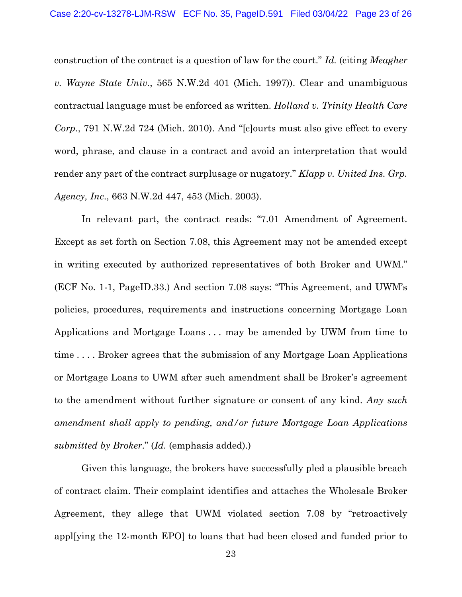construction of the contract is a question of law for the court." *Id.* (citing *Meagher v. Wayne State Univ.*, 565 N.W.2d 401 (Mich. 1997)). Clear and unambiguous contractual language must be enforced as written. *Holland v. Trinity Health Care Corp.*, 791 N.W.2d 724 (Mich. 2010). And "[c]ourts must also give effect to every word, phrase, and clause in a contract and avoid an interpretation that would render any part of the contract surplusage or nugatory." *Klapp v. United Ins. Grp. Agency, Inc*., 663 N.W.2d 447, 453 (Mich. 2003).

In relevant part, the contract reads: "7.01 Amendment of Agreement. Except as set forth on Section 7.08, this Agreement may not be amended except in writing executed by authorized representatives of both Broker and UWM." (ECF No. 1-1, PageID.33.) And section 7.08 says: "This Agreement, and UWM's policies, procedures, requirements and instructions concerning Mortgage Loan Applications and Mortgage Loans . . . may be amended by UWM from time to time . . . . Broker agrees that the submission of any Mortgage Loan Applications or Mortgage Loans to UWM after such amendment shall be Broker's agreement to the amendment without further signature or consent of any kind. *Any such amendment shall apply to pending, and/or future Mortgage Loan Applications submitted by Broker*." (*Id.* (emphasis added).)

Given this language, the brokers have successfully pled a plausible breach of contract claim. Their complaint identifies and attaches the Wholesale Broker Agreement, they allege that UWM violated section 7.08 by "retroactively appl[ying the 12-month EPO] to loans that had been closed and funded prior to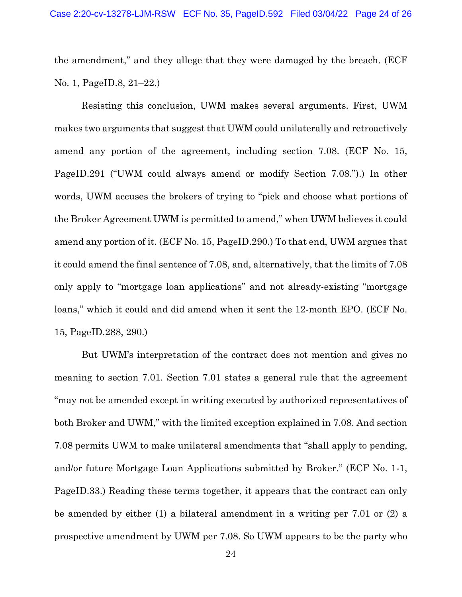the amendment," and they allege that they were damaged by the breach. (ECF No. 1, PageID.8, 21–22.)

Resisting this conclusion, UWM makes several arguments. First, UWM makes two arguments that suggest that UWM could unilaterally and retroactively amend any portion of the agreement, including section 7.08. (ECF No. 15, PageID.291 ("UWM could always amend or modify Section 7.08.").) In other words, UWM accuses the brokers of trying to "pick and choose what portions of the Broker Agreement UWM is permitted to amend," when UWM believes it could amend any portion of it. (ECF No. 15, PageID.290.) To that end, UWM argues that it could amend the final sentence of 7.08, and, alternatively, that the limits of 7.08 only apply to "mortgage loan applications" and not already-existing "mortgage loans," which it could and did amend when it sent the 12-month EPO. (ECF No. 15, PageID.288, 290.)

But UWM's interpretation of the contract does not mention and gives no meaning to section 7.01. Section 7.01 states a general rule that the agreement "may not be amended except in writing executed by authorized representatives of both Broker and UWM," with the limited exception explained in 7.08. And section 7.08 permits UWM to make unilateral amendments that "shall apply to pending, and/or future Mortgage Loan Applications submitted by Broker." (ECF No. 1-1, PageID.33.) Reading these terms together, it appears that the contract can only be amended by either (1) a bilateral amendment in a writing per 7.01 or (2) a prospective amendment by UWM per 7.08. So UWM appears to be the party who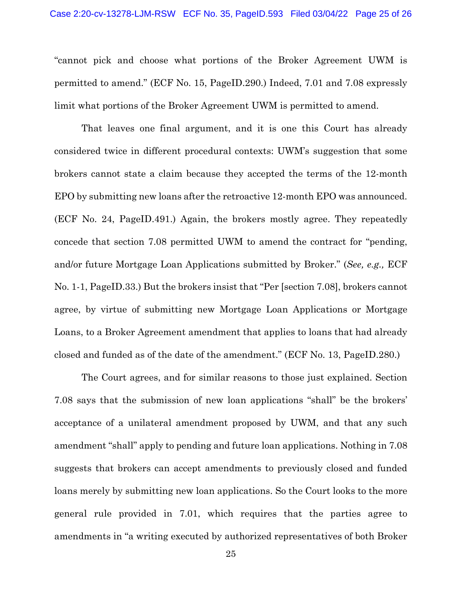"cannot pick and choose what portions of the Broker Agreement UWM is permitted to amend." (ECF No. 15, PageID.290.) Indeed, 7.01 and 7.08 expressly limit what portions of the Broker Agreement UWM is permitted to amend.

That leaves one final argument, and it is one this Court has already considered twice in different procedural contexts: UWM's suggestion that some brokers cannot state a claim because they accepted the terms of the 12-month EPO by submitting new loans after the retroactive 12-month EPO was announced. (ECF No. 24, PageID.491.) Again, the brokers mostly agree. They repeatedly concede that section 7.08 permitted UWM to amend the contract for "pending, and/or future Mortgage Loan Applications submitted by Broker." (*See, e.g.,* ECF No. 1-1, PageID.33.) But the brokers insist that "Per [section 7.08], brokers cannot agree, by virtue of submitting new Mortgage Loan Applications or Mortgage Loans, to a Broker Agreement amendment that applies to loans that had already closed and funded as of the date of the amendment." (ECF No. 13, PageID.280.)

The Court agrees, and for similar reasons to those just explained. Section 7.08 says that the submission of new loan applications "shall" be the brokers' acceptance of a unilateral amendment proposed by UWM, and that any such amendment "shall" apply to pending and future loan applications. Nothing in 7.08 suggests that brokers can accept amendments to previously closed and funded loans merely by submitting new loan applications. So the Court looks to the more general rule provided in 7.01, which requires that the parties agree to amendments in "a writing executed by authorized representatives of both Broker